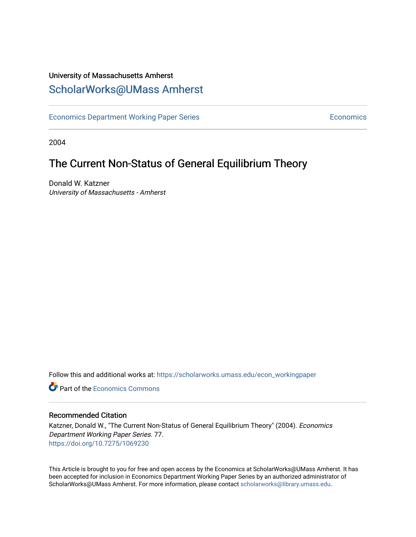### University of Massachusetts Amherst [ScholarWorks@UMass Amherst](https://scholarworks.umass.edu/)

[Economics Department Working Paper Series](https://scholarworks.umass.edu/econ_workingpaper) **Economics** Economics

2004

## The Current Non-Status of General Equilibrium Theory

Donald W. Katzner University of Massachusetts - Amherst

Follow this and additional works at: [https://scholarworks.umass.edu/econ\\_workingpaper](https://scholarworks.umass.edu/econ_workingpaper?utm_source=scholarworks.umass.edu%2Fecon_workingpaper%2F77&utm_medium=PDF&utm_campaign=PDFCoverPages) 

**C** Part of the [Economics Commons](http://network.bepress.com/hgg/discipline/340?utm_source=scholarworks.umass.edu%2Fecon_workingpaper%2F77&utm_medium=PDF&utm_campaign=PDFCoverPages)

#### Recommended Citation

Katzner, Donald W., "The Current Non-Status of General Equilibrium Theory" (2004). Economics Department Working Paper Series. 77. <https://doi.org/10.7275/1069230>

This Article is brought to you for free and open access by the Economics at ScholarWorks@UMass Amherst. It has been accepted for inclusion in Economics Department Working Paper Series by an authorized administrator of ScholarWorks@UMass Amherst. For more information, please contact [scholarworks@library.umass.edu.](mailto:scholarworks@library.umass.edu)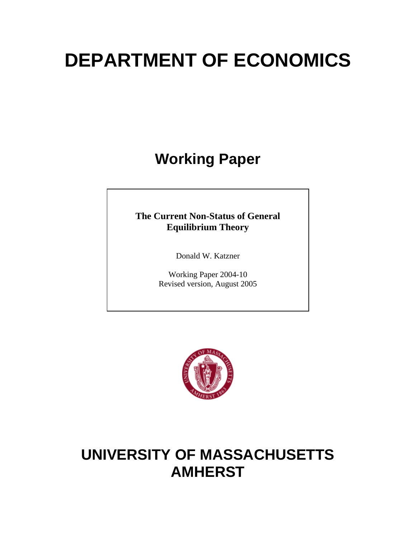# **DEPARTMENT OF ECONOMICS**

## **Working Paper**

### **The Current Non-Status of General Equilibrium Theory**

Donald W. Katzner

Working Paper 2004-10 Revised version, August 2005



## **UNIVERSITY OF MASSACHUSETTS AMHERST**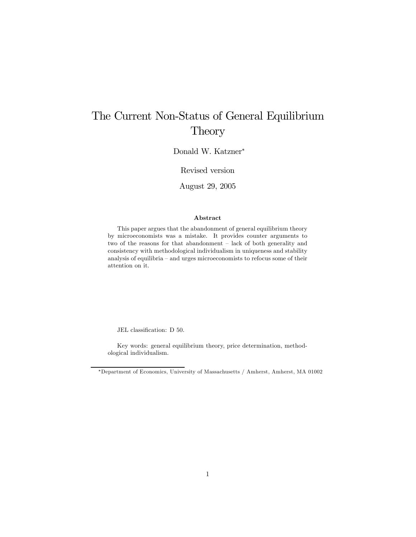## The Current Non-Status of General Equilibrium Theory

Donald W. Katzner<sup>∗</sup>

Revised version

August 29, 2005

#### Abstract

This paper argues that the abandonment of general equilibrium theory by microeconomists was a mistake. It provides counter arguments to two of the reasons for that abandonment — lack of both generality and consistency with methodological individualism in uniqueness and stability analysis of equilibria — and urges microeconomists to refocus some of their attention on it.

JEL classification: D 50.

Key words: general equilibrium theory, price determination, methodological individualism.

<sup>∗</sup>Department of Economics, University of Massachusetts / Amherst, Amherst, MA 01002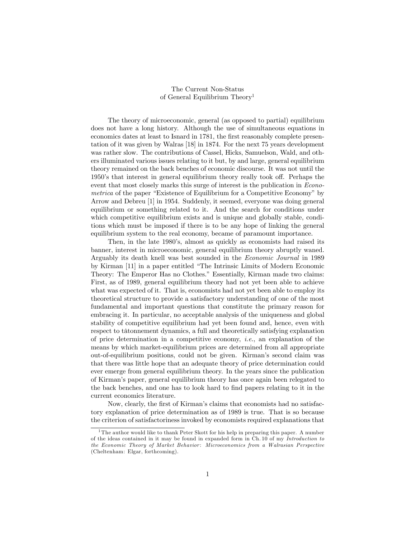#### The Current Non-Status of General Equilibrium Theory1

The theory of microeconomic, general (as opposed to partial) equilibrium does not have a long history. Although the use of simultaneous equations in economics dates at least to Isnard in 1781, the first reasonably complete presentation of it was given by Walras [18] in 1874. For the next 75 years development was rather slow. The contributions of Cassel, Hicks, Samuelson, Wald, and others illuminated various issues relating to it but, by and large, general equilibrium theory remained on the back benches of economic discourse. It was not until the 1950's that interest in general equilibrium theory really took off. Perhaps the event that most closely marks this surge of interest is the publication in *Econo*metrica of the paper "Existence of Equilibrium for a Competitive Economy" by Arrow and Debreu [1] in 1954. Suddenly, it seemed, everyone was doing general equilibrium or something related to it. And the search for conditions under which competitive equilibrium exists and is unique and globally stable, conditions which must be imposed if there is to be any hope of linking the general equilibrium system to the real economy, became of paramount importance.

Then, in the late 1980's, almost as quickly as economists had raised its banner, interest in microeconomic, general equilibrium theory abruptly waned. Arguably its death knell was best sounded in the Economic Journal in 1989 by Kirman [11] in a paper entitled "The Intrinsic Limits of Modern Economic Theory: The Emperor Has no Clothes." Essentially, Kirman made two claims: First, as of 1989, general equilibrium theory had not yet been able to achieve what was expected of it. That is, economists had not yet been able to employ its theoretical structure to provide a satisfactory understanding of one of the most fundamental and important questions that constitute the primary reason for embracing it. In particular, no acceptable analysis of the uniqueness and global stability of competitive equilibrium had yet been found and, hence, even with respect to tâtonnement dynamics, a full and theoretically satisfying explanation of price determination in a competitive economy, i.e., an explanation of the means by which market-equilibrium prices are determined from all appropriate out-of-equilibrium positions, could not be given. Kirman's second claim was that there was little hope that an adequate theory of price determination could ever emerge from general equilibrium theory. In the years since the publication of Kirman's paper, general equilibrium theory has once again been relegated to the back benches, and one has to look hard to find papers relating to it in the current economics literature.

Now, clearly, the first of Kirman's claims that economists had no satisfactory explanation of price determination as of 1989 is true. That is so because the criterion of satisfactoriness invoked by economists required explanations that

<sup>&</sup>lt;sup>1</sup>The author would like to thank Peter Skott for his help in preparing this paper. A number of the ideas contained in it may be found in expanded form in Ch. 10 of my Introduction to the Economic Theory of Market Behavior: Microeconomics from a Walrasian Perspective (Cheltenham: Elgar, forthcoming).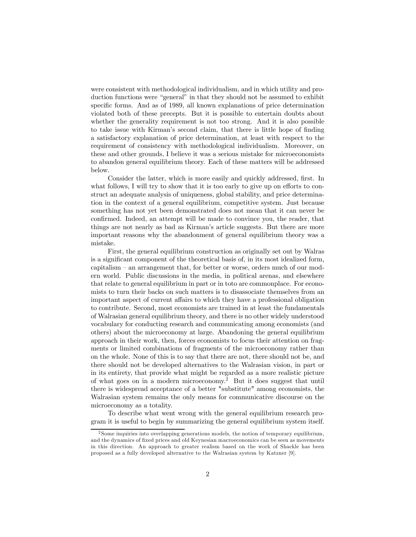were consistent with methodological individualism, and in which utility and production functions were "general" in that they should not be assumed to exhibit specific forms. And as of 1989, all known explanations of price determination violated both of these precepts. But it is possible to entertain doubts about whether the generality requirement is not too strong. And it is also possible to take issue with Kirman's second claim, that there is little hope of finding a satisfactory explanation of price determination, at least with respect to the requirement of consistency with methodological individualism. Moreover, on these and other grounds, I believe it was a serious mistake for microeconomists to abandon general equilibrium theory. Each of these matters will be addressed below.

Consider the latter, which is more easily and quickly addressed, first. In what follows, I will try to show that it is too early to give up on efforts to construct an adequate analysis of uniqueness, global stability, and price determination in the context of a general equilibrium, competitive system. Just because something has not yet been demonstrated does not mean that it can never be confirmed. Indeed, an attempt will be made to convince you, the reader, that things are not nearly as bad as Kirman's article suggests. But there are more important reasons why the abandonment of general equilibrium theory was a mistake.

First, the general equilibrium construction as originally set out by Walras is a significant component of the theoretical basis of, in its most idealized form, capitalism — an arrangement that, for better or worse, orders much of our modern world. Public discussions in the media, in political arenas, and elsewhere that relate to general equilibrium in part or in toto are commonplace. For economists to turn their backs on such matters is to disassociate themselves from an important aspect of current affairs to which they have a professional obligation to contribute. Second, most economists are trained in at least the fundamentals of Walrasian general equilibrium theory, and there is no other widely understood vocabulary for conducting research and communicating among economists (and others) about the microeconomy at large. Abandoning the general equilibrium approach in their work, then, forces economists to focus their attention on fragments or limited combinations of fragments of the microeconomy rather than on the whole. None of this is to say that there are not, there should not be, and there should not be developed alternatives to the Walrasian vision, in part or in its entirety, that provide what might be regarded as a more realistic picture of what goes on in a modern microeconomy.<sup>2</sup> But it does suggest that until there is widespread acceptance of a better "substitute" among economists, the Walrasian system remains the only means for communicative discourse on the microeconomy as a totality.

To describe what went wrong with the general equilibrium research program it is useful to begin by summarizing the general equilibrium system itself.

<sup>&</sup>lt;sup>2</sup> Some inquiries into overlapping generations models, the notion of temporary equilibrium, and the dynamics of fixed prices and old Keynesian macroeconomics can be seen as movements in this direction. An approach to greater realism based on the work of Shackle has been proposed as a fully developed alternative to the Walrasian system by Katzner [9].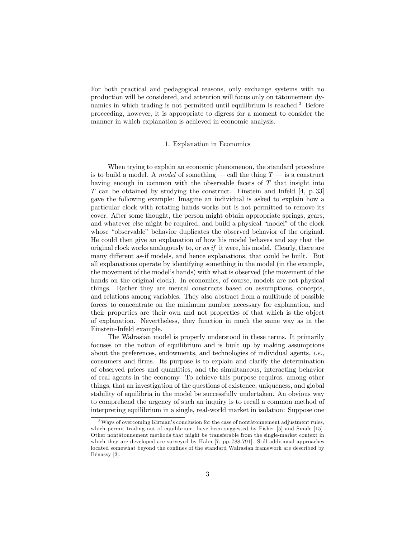For both practical and pedagogical reasons, only exchange systems with no production will be considered, and attention will focus only on tâtonnement dynamics in which trading is not permitted until equilibrium is reached.3 Before proceeding, however, it is appropriate to digress for a moment to consider the manner in which explanation is achieved in economic analysis.

#### 1. Explanation in Economics

When trying to explain an economic phenomenon, the standard procedure is to build a model. A model of something – call the thing  $T - i$  is a construct having enough in common with the observable facets of  $T$  that insight into T can be obtained by studying the construct. Einstein and Infeld [4, p. 33] gave the following example: Imagine an individual is asked to explain how a particular clock with rotating hands works but is not permitted to remove its cover. After some thought, the person might obtain appropriate springs, gears, and whatever else might be required, and build a physical "model" of the clock whose "observable" behavior duplicates the observed behavior of the original. He could then give an explanation of how his model behaves and say that the original clock works analogously to, or as if it were, his model. Clearly, there are many different as-if models, and hence explanations, that could be built. But all explanations operate by identifying something in the model (in the example, the movement of the model's hands) with what is observed (the movement of the hands on the original clock). In economics, of course, models are not physical things. Rather they are mental constructs based on assumptions, concepts, and relations among variables. They also abstract from a multitude of possible forces to concentrate on the minimum number necessary for explanation, and their properties are their own and not properties of that which is the object of explanation. Nevertheless, they function in much the same way as in the Einstein-Infeld example.

The Walrasian model is properly understood in these terms. It primarily focuses on the notion of equilibrium and is built up by making assumptions about the preferences, endowments, and technologies of individual agents, i.e., consumers and firms. Its purpose is to explain and clarify the determination of observed prices and quantities, and the simultaneous, interacting behavior of real agents in the economy. To achieve this purpose requires, among other things, that an investigation of the questions of existence, uniqueness, and global stability of equilibria in the model be successfully undertaken. An obvious way to comprehend the urgency of such an inquiry is to recall a common method of interpreting equilibrium in a single, real-world market in isolation: Suppose one

<sup>3</sup>Ways of overcoming Kirman's conclusion for the case of nontâtonnement adjustment rules, which permit trading out of equilibrium, have been suggested by Fisher [5] and Smale [15]. Other nontâtonnement methods that might be transferable from the single-market context in which they are developed are surveyed by Hahn [7, pp. 788-791]. Still additional approaches located somewhat beyond the confines of the standard Walrasian framework are described by Bénassy [2].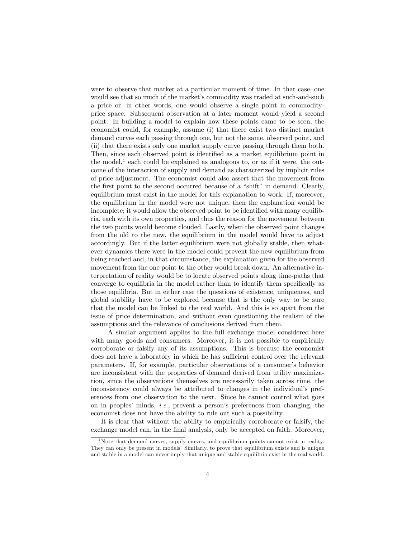were to observe that market at a particular moment of time. In that case, one would see that so much of the market's commodity was traded at such-and-such a price or, in other words, one would observe a single point in commodityprice space. Subsequent observation at a later moment would yield a second point. In building a model to explain how these points came to be seen, the economist could, for example, assume (i) that there exist two distinct market demand curves each passing through one, but not the same, observed point, and (ii) that there exists only one market supply curve passing through them both. Then, since each observed point is identified as a market equilibrium point in the model,<sup>4</sup> each could be explained as analogous to, or as if it were, the outcome of the interaction of supply and demand as characterized by implicit rules of price adjustment. The economist could also assert that the movement from the first point to the second occurred because of a "shift" in demand. Clearly, equilibrium must exist in the model for this explanation to work. If, moreover, the equilibrium in the model were not unique, then the explanation would be incomplete; it would allow the observed point to be identified with many equilibria, each with its own properties, and thus the reason for the movement between the two points would become clouded. Lastly, when the observed point changes from the old to the new, the equilibrium in the model would have to adjust accordingly. But if the latter equilibrium were not globally stable, then whatever dynamics there were in the model could prevent the new equilibrium from being reached and, in that circumstance, the explanation given for the observed movement from the one point to the other would break down. An alternative interpretation of reality would be to locate observed points along time-paths that converge to equilibria in the model rather than to identify them specifically as those equilibria. But in either case the questions of existence, uniqueness, and global stability have to be explored because that is the only way to be sure that the model can be linked to the real world. And this is so apart from the issue of price determination, and without even questioning the realism of the assumptions and the relevance of conclusions derived from them.

A similar argument applies to the full exchange model considered here with many goods and consumers. Moreover, it is not possible to empirically corroborate or falsify any of its assumptions. This is because the economist does not have a laboratory in which he has sufficient control over the relevant parameters. If, for example, particular observations of a consumer's behavior are inconsistent with the properties of demand derived from utility maximization, since the observations themselves are necessarily taken across time, the inconsistency could always be attributed to changes in the individual's preferences from one observation to the next. Since he cannot control what goes on in peoples' minds, i.e., prevent a person's preferences from changing, the economist does not have the ability to rule out such a possibility.

It is clear that without the ability to empirically corroborate or falsify, the exchange model can, in the final analysis, only be accepted on faith. Moreover,

<sup>&</sup>lt;sup>4</sup>Note that demand curves, supply curves, and equilibrium points cannot exist in reality. They can only be present in models. Similarly, to prove that equilibrium exists and is unique and stable in a model can never imply that unique and stable equilibria exist in the real world.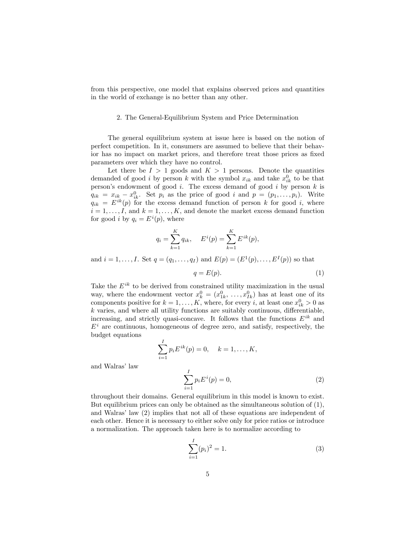from this perspective, one model that explains observed prices and quantities in the world of exchange is no better than any other.

#### 2. The General-Equilibrium System and Price Determination

The general equilibrium system at issue here is based on the notion of perfect competition. In it, consumers are assumed to believe that their behavior has no impact on market prices, and therefore treat those prices as fixed parameters over which they have no control.

Let there be  $I > 1$  goods and  $K > 1$  persons. Denote the quantities demanded of good *i* by person *k* with the symbol  $x_{ik}$  and take  $x_{ik}^0$  to be that person's endowment of good  $i$ . The excess demand of good  $i$  by person  $k$  is  $q_{ik} = x_{ik} - x_{ik}^0$ . Set  $p_i$  as the price of good i and  $p = (p_1, \ldots, p_i)$ . Write  $q_{ik} = E^{ik}(p)$  for the excess demand function of person k for good i, where  $i = 1, \ldots, I$ , and  $k = 1, \ldots, K$ , and denote the market excess demand function for good *i* by  $q_i = E^i(p)$ , where

$$
q_i = \sum_{k=1}^{K} q_{ik}, \quad E^i(p) = \sum_{k=1}^{K} E^{ik}(p),
$$

and  $i = 1, ..., I$ . Set  $q = (q_1, ..., q_I)$  and  $E(p) = (E^1(p), ..., E^I(p))$  so that

$$
q = E(p). \tag{1}
$$

Take the  $E^{ik}$  to be derived from constrained utility maximization in the usual way, where the endowment vector  $x_k^0 = (x_{1k}^0, \ldots, x_{1k}^0)$  has at least one of its components positive for  $k = 1, ..., K$ , where, for every i, at least one  $x_{ik}^0 > 0$  as  $k$  varies, and where all utility functions are suitably continuous, differentiable, increasing, and strictly quasi-concave. It follows that the functions  $E^{ik}$  and  $E<sup>i</sup>$  are continuous, homogeneous of degree zero, and satisfy, respectively, the budget equations

$$
\sum_{i=1}^{I} p_i E^{ik}(p) = 0, \quad k = 1, \dots, K,
$$

and Walras' law

$$
\sum_{i=1}^{I} p_i E^i(p) = 0,
$$
\n(2)

throughout their domains. General equilibrium in this model is known to exist. But equilibrium prices can only be obtained as the simultaneous solution of (1), and Walras' law (2) implies that not all of these equations are independent of each other. Hence it is necessary to either solve only for price ratios or introduce a normalization. The approach taken here is to normalize according to

$$
\sum_{i=1}^{I} (p_i)^2 = 1.
$$
\n(3)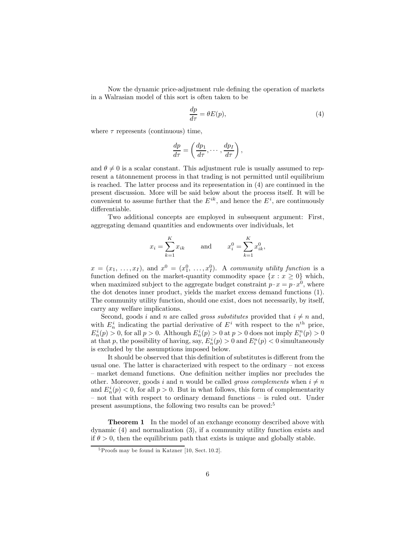Now the dynamic price-adjustment rule defining the operation of markets in a Walrasian model of this sort is often taken to be

$$
\frac{dp}{d\tau} = \theta E(p),\tag{4}
$$

where  $\tau$  represents (continuous) time,

$$
\frac{dp}{d\tau} = \left(\frac{dp_1}{d\tau}, \cdots, \frac{dp_I}{d\tau}\right),\,
$$

and  $\theta \neq 0$  is a scalar constant. This adjustment rule is usually assumed to represent a tâtonnement process in that trading is not permitted until equilibrium is reached. The latter process and its representation in (4) are continued in the present discussion. More will be said below about the process itself. It will be convenient to assume further that the  $E^{ik}$ , and hence the  $E^i$ , are continuously differentiable.

Two additional concepts are employed in subsequent argument: First, aggregating demand quantities and endowments over individuals, let

$$
x_i = \sum_{k=1}^{K} x_{ik}
$$
 and  $x_i^0 = \sum_{k=1}^{K} x_{ik}^0$ ,

 $x = (x_1, \ldots, x_I)$ , and  $x^0 = (x_1^0, \ldots, x_I^0)$ . A community utility function is a function defined on the market-quantity commodity space  $\{x : x \geq 0\}$  which, when maximized subject to the aggregate budget constraint  $p \cdot x = p \cdot x^0$ , where the dot denotes inner product, yields the market excess demand functions (1). The community utility function, should one exist, does not necessarily, by itself, carry any welfare implications.

Second, goods i and n are called *gross substitutes* provided that  $i \neq n$  and, with  $E_n^i$  indicating the partial derivative of  $E^i$  with respect to the  $n<sup>th</sup>$  price,  $E_n^i(p) > 0$ , for all  $p > 0$ . Although  $E_n^i(p) > 0$  at  $p > 0$  does not imply  $E_i^n(p) > 0$ at that p, the possibility of having, say,  $E_n^i(p) > 0$  and  $E_i^n(p) < 0$  simultaneously is excluded by the assumptions imposed below.

It should be observed that this definition of substitutes is different from the usual one. The latter is characterized with respect to the ordinary — not excess — market demand functions. One definition neither implies nor precludes the other. Moreover, goods i and n would be called *gross complements* when  $i \neq n$ and  $E_n^i(p) < 0$ , for all  $p > 0$ . But in what follows, this form of complementarity — not that with respect to ordinary demand functions — is ruled out. Under present assumptions, the following two results can be proved:<sup>5</sup>

**Theorem 1** In the model of an exchange economy described above with dynamic (4) and normalization (3), if a community utility function exists and if  $\theta > 0$ , then the equilibrium path that exists is unique and globally stable.

 $5P$ roofs may be found in Katzner [10, Sect. 10.2].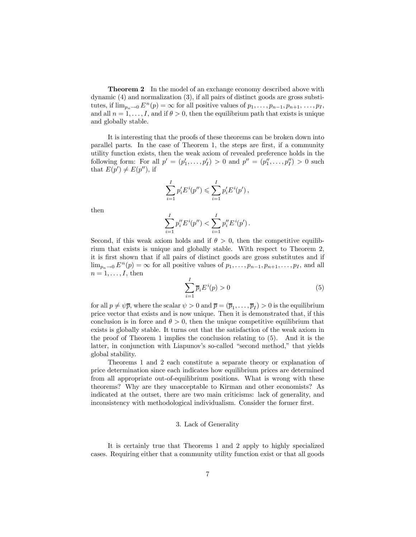**Theorem 2** In the model of an exchange economy described above with dynamic (4) and normalization (3), if all pairs of distinct goods are gross substitutes, if  $\lim_{p_n\to 0} E^n(p) = \infty$  for all positive values of  $p_1,\ldots,p_{n-1},p_{n+1},\ldots,p_I$ , and all  $n = 1, \ldots, I$ , and if  $\theta > 0$ , then the equilibrium path that exists is unique and globally stable.

It is interesting that the proofs of these theorems can be broken down into parallel parts. In the case of Theorem 1, the steps are first, if a community utility function exists, then the weak axiom of revealed preference holds in the following form: For all  $p' = (p'_1, ..., p'_I) > 0$  and  $p'' = (p''_1, ..., p''_I) > 0$  such that  $E(p') \neq E(p'')$ , if

$$
\sum_{i=1}^{I} p'_i E^i(p'') \leq \sum_{i=1}^{I} p'_i E^i(p') ,
$$

then

$$
\sum_{i=1}^{I} p_i'' E^{i}(p'') < \sum_{i=1}^{I} p_i'' E^{i}(p') .
$$

Second, if this weak axiom holds and if  $\theta > 0$ , then the competitive equilibrium that exists is unique and globally stable. With respect to Theorem 2, it is first shown that if all pairs of distinct goods are gross substitutes and if  $\lim_{p_n\to 0} E^n(p) = \infty$  for all positive values of  $p_1,\ldots,p_{n-1},p_{n+1},\ldots,p_I$ , and all  $n=1,\ldots,I$ , then

$$
\sum_{i=1}^{I} \overline{p}_i E^i(p) > 0
$$
\n<sup>(5)</sup>

for all  $p \neq \psi \bar{p}$ , where the scalar  $\psi > 0$  and  $\bar{p} = (\bar{p}_1, \ldots, \bar{p}_I) > 0$  is the equilibrium price vector that exists and is now unique. Then it is demonstrated that, if this conclusion is in force and  $\theta > 0$ , then the unique competitive equilibrium that exists is globally stable. It turns out that the satisfaction of the weak axiom in the proof of Theorem 1 implies the conclusion relating to (5). And it is the latter, in conjunction with Liapunov's so-called "second method," that yields global stability.

Theorems 1 and 2 each constitute a separate theory or explanation of price determination since each indicates how equilibrium prices are determined from all appropriate out-of-equilibrium positions. What is wrong with these theorems? Why are they unacceptable to Kirman and other economists? As indicated at the outset, there are two main criticisms: lack of generality, and inconsistency with methodological individualism. Consider the former first.

#### 3. Lack of Generality

It is certainly true that Theorems 1 and 2 apply to highly specialized cases. Requiring either that a community utility function exist or that all goods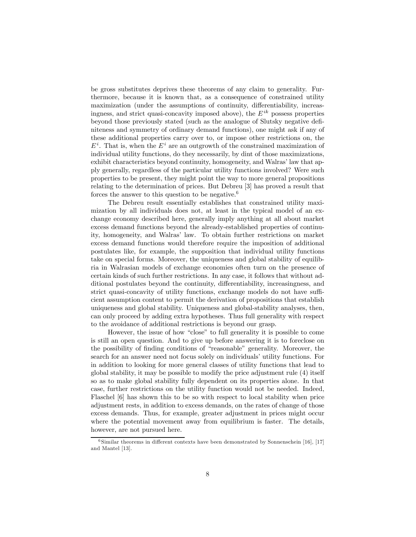be gross substitutes deprives these theorems of any claim to generality. Furthermore, because it is known that, as a consequence of constrained utility maximization (under the assumptions of continuity, differentiability, increasingness, and strict quasi-concavity imposed above), the  $E^{ik}$  possess properties beyond those previously stated (such as the analogue of Slutsky negative definiteness and symmetry of ordinary demand functions), one might ask if any of these additional properties carry over to, or impose other restrictions on, the  $E^i$ . That is, when the  $E^i$  are an outgrowth of the constrained maximization of individual utility functions, do they necessarily, by dint of those maximizations, exhibit characteristics beyond continuity, homogeneity, and Walras' law that apply generally, regardless of the particular utility functions involved? Were such properties to be present, they might point the way to more general propositions relating to the determination of prices. But Debreu [3] has proved a result that forces the answer to this question to be negative.<sup> $6$ </sup>

The Debreu result essentially establishes that constrained utility maximization by all individuals does not, at least in the typical model of an exchange economy described here, generally imply anything at all about market excess demand functions beyond the already-established properties of continuity, homogeneity, and Walras' law. To obtain further restrictions on market excess demand functions would therefore require the imposition of additional postulates like, for example, the supposition that individual utility functions take on special forms. Moreover, the uniqueness and global stability of equilibria in Walrasian models of exchange economies often turn on the presence of certain kinds of such further restrictions. In any case, it follows that without additional postulates beyond the continuity, differentiability, increasingness, and strict quasi-concavity of utility functions, exchange models do not have sufficient assumption content to permit the derivation of propositions that establish uniqueness and global stability. Uniqueness and global-stability analyses, then, can only proceed by adding extra hypotheses. Thus full generality with respect to the avoidance of additional restrictions is beyond our grasp.

However, the issue of how "close" to full generality it is possible to come is still an open question. And to give up before answering it is to foreclose on the possibility of finding conditions of "reasonable" generality. Moreover, the search for an answer need not focus solely on individuals' utility functions. For in addition to looking for more general classes of utility functions that lead to global stability, it may be possible to modify the price adjustment rule (4) itself so as to make global stability fully dependent on its properties alone. In that case, further restrictions on the utility function would not be needed. Indeed, Flaschel [6] has shown this to be so with respect to local stability when price adjustment rests, in addition to excess demands, on the rates of change of those excess demands. Thus, for example, greater adjustment in prices might occur where the potential movement away from equilibrium is faster. The details, however, are not pursued here.

<sup>6</sup> Similar theorems in different contexts have been demonstrated by Sonnenschein [16], [17] and Mantel [13].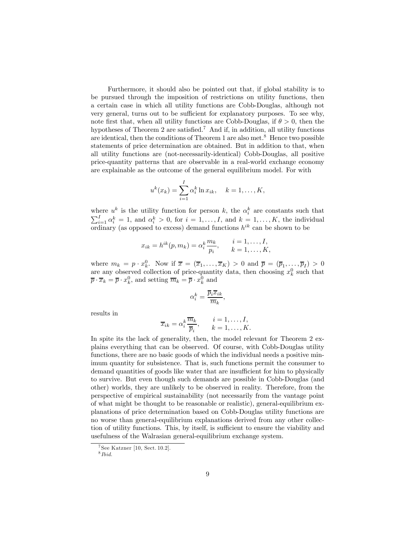Furthermore, it should also be pointed out that, if global stability is to be pursued through the imposition of restrictions on utility functions, then a certain case in which all utility functions are Cobb-Douglas, although not very general, turns out to be sufficient for explanatory purposes. To see why, note first that, when all utility functions are Cobb-Douglas, if  $\theta > 0$ , then the hypotheses of Theorem 2 are satisfied.<sup>7</sup> And if, in addition, all utility functions are identical, then the conditions of Theorem 1 are also met.<sup>8</sup> Hence two possible statements of price determination are obtained. But in addition to that, when all utility functions are (not-necessarily-identical) Cobb-Douglas, all positive price-quantity patterns that are observable in a real-world exchange economy are explainable as the outcome of the general equilibrium model. For with

$$
u^{k}(x_{k}) = \sum_{i=1}^{I} \alpha_{i}^{k} \ln x_{ik}, \quad k = 1, ..., K,
$$

where  $u^k$  is the utility function for person k, the  $\alpha_i^k$  are constants such that  $\sum_{i=1}^{I} \alpha_i^k = 1$ , and  $\alpha_i^k > 0$ , for  $i = 1, \ldots, I$ , and  $k = 1, \ldots, K$ , the individual ordinary (as opposed to excess) demand functions  $h^{ik}$  can be shown to be

$$
x_{ik} = h^{ik}(p, m_k) = \alpha_i^k \frac{m_k}{p_i},
$$
   
  $i = 1, ..., I,$   
  $k = 1, ..., K,$ 

where  $m_k = p \cdot x_k^0$ . Now if  $\overline{x} = (\overline{x}_1, \ldots, \overline{x}_K) > 0$  and  $\overline{p} = (\overline{p}_1, \ldots, \overline{p}_I) > 0$ are any observed collection of price-quantity data, then choosing  $x_k^0$  such that  $\overline{p} \cdot \overline{x}_k = \overline{p} \cdot x_k^0$ , and setting  $\overline{m}_k = \overline{p} \cdot x_k^0$  and

$$
\alpha_i^k = \frac{\overline{p}_i \overline{x}_{ik}}{\overline{m}_k},
$$

results in

$$
\overline{x}_{ik} = \alpha_i^k \frac{\overline{m}_k}{\overline{p}_i}, \qquad \begin{array}{l} i = 1, \dots, I, \\ k = 1, \dots, K. \end{array}
$$

In spite its the lack of generality, then, the model relevant for Theorem 2 explains everything that can be observed. Of course, with Cobb-Douglas utility functions, there are no basic goods of which the individual needs a positive minimum quantity for subsistence. That is, such functions permit the consumer to demand quantities of goods like water that are insufficient for him to physically to survive. But even though such demands are possible in Cobb-Douglas (and other) worlds, they are unlikely to be observed in reality. Therefore, from the perspective of empirical sustainability (not necessarily from the vantage point of what might be thought to be reasonable or realistic), general-equilibrium explanations of price determination based on Cobb-Douglas utility functions are no worse than general-equilibrium explanations derived from any other collection of utility functions. This, by itself, is sufficient to ensure the viability and usefulness of the Walrasian general-equilibrium exchange system.

 $7$ See Katzner [10, Sect. 10.2].

 $^8\,Ibid.$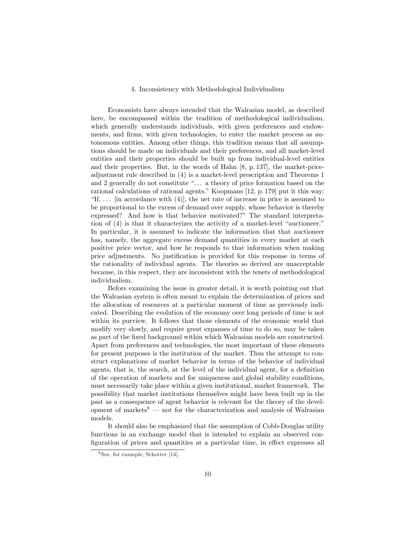#### 4. Inconsistency with Methodological Individualism

Economists have always intended that the Walrasian model, as described here, be encompassed within the tradition of methodological individualism, which generally understands individuals, with given preferences and endowments, and firms, with given technologies, to enter the market process as autonomous entities. Among other things, this tradition means that all assumptions should be made on individuals and their preferences, and all market-level entities and their properties should be built up from individual-level entities and their properties. But, in the words of Hahn [8, p. 137], the market-priceadjustment rule described in (4) is a market-level prescription and Theorems 1 and 2 generally do not constitute "... a theory of price formation based on the rational calculations of rational agents." Koopmans [12, p. 179] put it this way: "If,  $\ldots$  [in accordance with (4)], the net rate of increase in price is assumed to be proportional to the excess of demand over supply, whose behavior is thereby expressed? And how is that behavior motivated?" The standard interpretation of (4) is that it characterizes the activity of a market-level "auctioneer." In particular, it is assumed to indicate the information that that auctioneer has, namely, the aggregate excess demand quantities in every market at each positive price vector, and how he responds to that information when making price adjustments. No justification is provided for this response in terms of the rationality of individual agents. The theories so derived are unacceptable because, in this respect, they are inconsistent with the tenets of methodological individualism.

Before examining the issue in greater detail, it is worth pointing out that the Walrasian system is often meant to explain the determination of prices and the allocation of resources at a particular moment of time as previously indicated. Describing the evolution of the economy over long periods of time is not within its purview. It follows that those elements of the economic world that modify very slowly, and require great expanses of time to do so, may be taken as part of the fixed background within which Walrasian models are constructed. Apart from preferences and technologies, the most important of these elements for present purposes is the institution of the market. Thus the attempt to construct explanations of market behavior in terms of the behavior of individual agents, that is, the search, at the level of the individual agent, for a definition of the operation of markets and for uniqueness and global stability conditions, must necessarily take place within a given institutional, market framework. The possibility that market institutions themselves might have been built up in the past as a consequence of agent behavior is relevant for the theory of the development of markets<sup>9</sup> — not for the characterization and analysis of Walrasian models.

It should also be emphasized that the assumption of Cobb-Douglas utility functions in an exchange model that is intended to explain an observed configuration of prices and quantities at a particular time, in effect expresses all

<sup>&</sup>lt;sup>9</sup> See, for example, Schotter [14].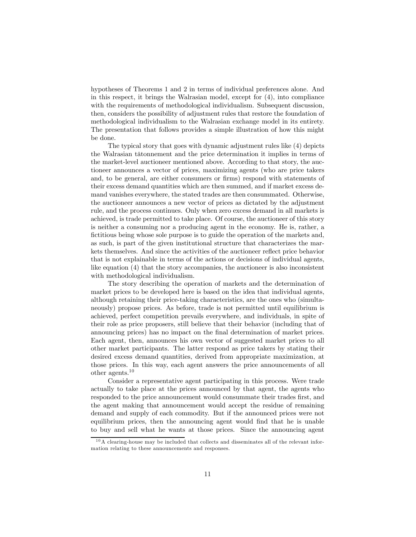hypotheses of Theorems 1 and 2 in terms of individual preferences alone. And in this respect, it brings the Walrasian model, except for (4), into compliance with the requirements of methodological individualism. Subsequent discussion, then, considers the possibility of adjustment rules that restore the foundation of methodological individualism to the Walrasian exchange model in its entirety. The presentation that follows provides a simple illustration of how this might be done.

The typical story that goes with dynamic adjustment rules like (4) depicts the Walrasian tâtonnement and the price determination it implies in terms of the market-level auctioneer mentioned above. According to that story, the auctioneer announces a vector of prices, maximizing agents (who are price takers and, to be general, are either consumers or firms) respond with statements of their excess demand quantities which are then summed, and if market excess demand vanishes everywhere, the stated trades are then consummated. Otherwise, the auctioneer announces a new vector of prices as dictated by the adjustment rule, and the process continues. Only when zero excess demand in all markets is achieved, is trade permitted to take place. Of course, the auctioneer of this story is neither a consuming nor a producing agent in the economy. He is, rather, a fictitious being whose sole purpose is to guide the operation of the markets and, as such, is part of the given institutional structure that characterizes the markets themselves. And since the activities of the auctioneer reflect price behavior that is not explainable in terms of the actions or decisions of individual agents, like equation (4) that the story accompanies, the auctioneer is also inconsistent with methodological individualism.

The story describing the operation of markets and the determination of market prices to be developed here is based on the idea that individual agents, although retaining their price-taking characteristics, are the ones who (simultaneously) propose prices. As before, trade is not permitted until equilibrium is achieved, perfect competition prevails everywhere, and individuals, in spite of their role as price proposers, still believe that their behavior (including that of announcing prices) has no impact on the final determination of market prices. Each agent, then, announces his own vector of suggested market prices to all other market participants. The latter respond as price takers by stating their desired excess demand quantities, derived from appropriate maximization, at those prices. In this way, each agent answers the price announcements of all other agents.10

Consider a representative agent participating in this process. Were trade actually to take place at the prices announced by that agent, the agents who responded to the price announcement would consummate their trades first, and the agent making that announcement would accept the residue of remaining demand and supply of each commodity. But if the announced prices were not equilibrium prices, then the announcing agent would find that he is unable to buy and sell what he wants at those prices. Since the announcing agent

 $10A$  clearing-house may be included that collects and disseminates all of the relevant information relating to these announcements and responses.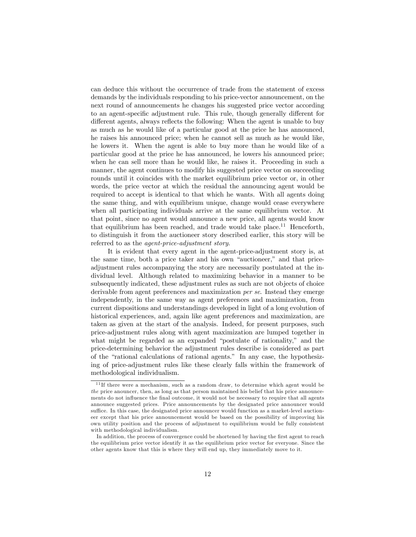can deduce this without the occurrence of trade from the statement of excess demands by the individuals responding to his price-vector announcement, on the next round of announcements he changes his suggested price vector according to an agent-specific adjustment rule. This rule, though generally different for different agents, always reflects the following: When the agent is unable to buy as much as he would like of a particular good at the price he has announced, he raises his announced price; when he cannot sell as much as he would like, he lowers it. When the agent is able to buy more than he would like of a particular good at the price he has announced, he lowers his announced price; when he can sell more than he would like, he raises it. Proceeding in such a manner, the agent continues to modify his suggested price vector on succeeding rounds until it coincides with the market equilibrium price vector or, in other words, the price vector at which the residual the announcing agent would be required to accept is identical to that which he wants. With all agents doing the same thing, and with equilibrium unique, change would cease everywhere when all participating individuals arrive at the same equilibrium vector. At that point, since no agent would announce a new price, all agents would know that equilibrium has been reached, and trade would take place.<sup>11</sup> Henceforth, to distinguish it from the auctioneer story described earlier, this story will be referred to as the agent-price-adjustment story.

It is evident that every agent in the agent-price-adjustment story is, at the same time, both a price taker and his own "auctioneer," and that priceadjustment rules accompanying the story are necessarily postulated at the individual level. Although related to maximizing behavior in a manner to be subsequently indicated, these adjustment rules as such are not objects of choice derivable from agent preferences and maximization per se. Instead they emerge independently, in the same way as agent preferences and maximization, from current dispositions and understandings developed in light of a long evolution of historical experiences, and, again like agent preferences and maximization, are taken as given at the start of the analysis. Indeed, for present purposes, such price-adjustment rules along with agent maximization are lumped together in what might be regarded as an expanded "postulate of rationality," and the price-determining behavior the adjustment rules describe is considered as part of the "rational calculations of rational agents." In any case, the hypothesizing of price-adjustment rules like these clearly falls within the framework of methodological individualism.

<sup>&</sup>lt;sup>11</sup>If there were a mechanism, such as a random draw, to determine which agent would be the price anouncer, then, as long as that person maintained his belief that his price announcements do not influence the final outcome, it would not be necessary to require that all agents announce suggested prices. Price announcements by the designated price announcer would suffice. In this case, the designated price announcer would function as a market-level auctioneer except that his price announcement would be based on the possibility of improving his own utility position and the process of adjustment to equilibrium would be fully consistent with methodological individualism.

In addition, the process of convergence could be shortened by having the first agent to reach the equilibrium price vector identify it as the equilibrium price vector for everyone. Since the other agents know that this is where they will end up, they immediately move to it.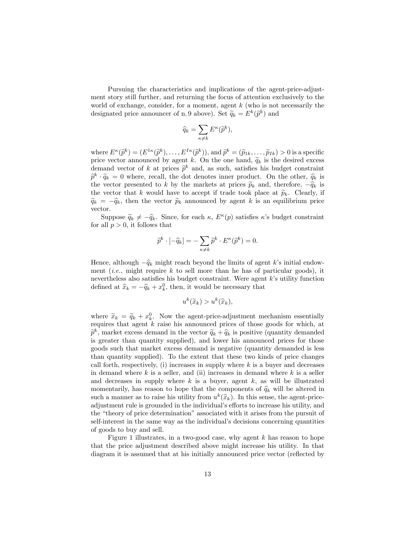Pursuing the characteristics and implications of the agent-price-adjustment story still further, and returning the focus of attention exclusively to the world of exchange, consider, for a moment, agent  $k$  (who is not necessarily the designated price announcer of n.9 above). Set  $\tilde{q}_k = E^k(\tilde{p}^k)$  and

$$
\widehat{q}_k = \sum_{\kappa \neq k} E^{\kappa}(\widehat{p}^k),
$$

where  $E^{\kappa}(\tilde{p}^k)=(E^{1\kappa}(\tilde{p}^k),\ldots,E^{I\kappa}(\tilde{p}^k)),$  and  $\tilde{p}^k=(\tilde{p}_{1k},\ldots,\tilde{p}_{Ik}) > 0$  is a specific price vector announced by agent k. On the one hand,  $\tilde{q}_k$  is the desired excess demand vector of k at prices  $\tilde{p}^k$  and, as such, satisfies his budget constraint  $\tilde{p}^k \cdot \tilde{q}_k = 0$  where, recall, the dot denotes inner product. On the other,  $\hat{q}_k$  is the vector presented to k by the markets at prices  $\tilde{p}_k$  and, therefore,  $-\hat{q}_k$  is the vector that k would have to accept if trade took place at  $\tilde{p}_k$ . Clearly, if  $\tilde{q}_k = -\hat{q}_k$ , then the vector  $\tilde{p}_k$  announced by agent k is an equilibrium price vector.

Suppose  $\tilde{q}_k \neq -\hat{q}_k$ . Since, for each  $\kappa$ ,  $E^{\kappa}(p)$  satisfies  $\kappa$ 's budget constraint for all  $p > 0$ , it follows that

$$
\widetilde{p}^k \cdot [-\widehat{q}_k] = -\sum_{\kappa \neq k} \widetilde{p}^k \cdot E^{\kappa}(\widetilde{p}^k) = 0.
$$

Hence, although  $-\hat{q}_k$  might reach beyond the limits of agent k's initial endowment (*i.e.*, might require  $k$  to sell more than he has of particular goods), it nevertheless also satisfies his budget constraint. Were agent  $k$ 's utility function defined at  $\hat{x}_k = -\hat{q}_k + x_k^0$ , then, it would be necessary that

$$
u^k(\widetilde{x}_k) > u^k(\widehat{x}_k),
$$

where  $\widetilde{x}_k = \widetilde{q}_k + x_k^0$ . Now the agent-price-adjustment mechanism essentially requires that agent  $k$  raise his announced prices of those goods for which, at  $\tilde{p}^k$ , market excess demand in the vector  $\tilde{q}_k + \hat{q}_k$  is positive (quantity demanded is greater than quantity supplied), and lower his announced prices for those goods such that market excess demand is negative (quantity demanded is less than quantity supplied). To the extent that these two kinds of price changes call forth, respectively, (i) increases in supply where  $k$  is a buyer and decreases in demand where  $k$  is a seller, and (ii) increases in demand where  $k$  is a seller and decreases in supply where  $k$  is a buyer, agent  $k$ , as will be illustrated momentarily, has reason to hope that the components of  $\hat{q}_k$  will be altered in such a manner as to raise his utility from  $u^k(\hat{x}_k)$ . In this sense, the agent-priceadjustment rule is grounded in the individual's efforts to increase his utility, and the "theory of price determination" associated with it arises from the pursuit of self-interest in the same way as the individual's decisions concerning quantities of goods to buy and sell.

Figure 1 illustrates, in a two-good case, why agent  $k$  has reason to hope that the price adjustment described above might increase his utility. In that diagram it is assumed that at his initially announced price vector (reflected by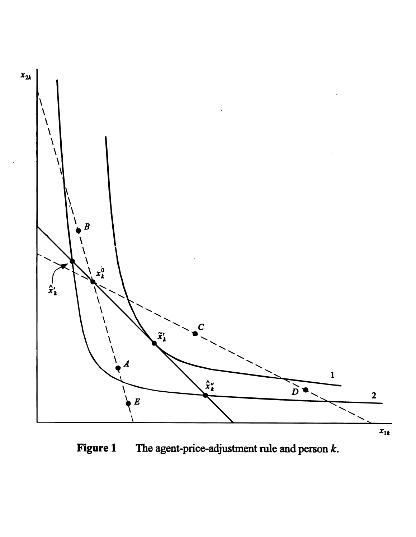

**Figure 1** The agent-price-adjustment rule and person  $k$ .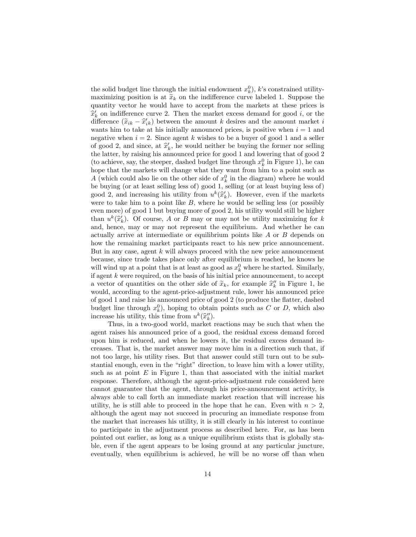the solid budget line through the initial endowment  $x_k^0$ , k's constrained utilitymaximizing position is at  $\tilde{x}_k$  on the indifference curve labeled 1. Suppose the quantity vector he would have to accept from the markets at these prices is  $\hat{x}'_k$  on indifference curve 2. Then the market excess demand for good i, or the difference  $(\widetilde{x}_{ik} - \widehat{x}'_{ik})$  between the amount k desires and the amount market i wants him to take at his initially announced prices, is positive when  $i = 1$  and negative when  $i = 2$ . Since agent k wishes to be a buyer of good 1 and a seller of good 2, and since, at  $\hat{x}'_k$ , he would neither be buying the former nor selling the latter, by raising his announced price for good 1 and lowering that of good 2 (to achieve, say, the steeper, dashed budget line through  $x_k^0$  in Figure 1), he can hope that the markets will change what they want from him to a point such as A (which could also lie on the other side of  $x_k^0$  in the diagram) where he would be buying (or at least selling less of) good 1, selling (or at least buying less of) good 2, and increasing his utility from  $u^k(\hat{x}_k)$ . However, even if the markets were to take him to a point like  $B$ , where he would be selling less (or possibly even more) of good 1 but buying more of good 2, his utility would still be higher than  $u^k(\hat{x}_k)$ . Of course, A or B may or may not be utility maximizing for k and, hence, may or may not represent the equilibrium. And whether he can actually arrive at intermediate or equilibrium points like A or B depends on how the remaining market participants react to his new price announcement. But in any case, agent  $k$  will always proceed with the new price announcement because, since trade takes place only after equilibrium is reached, he knows he will wind up at a point that is at least as good as  $x_k^0$  where he started. Similarly, if agent k were required, on the basis of his initial price announcement, to accept a vector of quantities on the other side of  $\widetilde{x}_k$ , for example  $\widehat{x}_k^{\prime\prime}$  in Figure 1, he would, according to the agent-price-adjustment rule, lower his announced price of good 1 and raise his announced price of good 2 (to produce the flatter, dashed budget line through  $x_k^0$ , hoping to obtain points such as C or D, which also increase his utility, this time from  $u^k(\hat{x}_k^{\prime\prime})$ .

Thus, in a two-good world, market reactions may be such that when the agent raises his announced price of a good, the residual excess demand forced upon him is reduced, and when he lowers it, the residual excess demand increases. That is, the market answer may move him in a direction such that, if not too large, his utility rises. But that answer could still turn out to be substantial enough, even in the "right" direction, to leave him with a lower utility, such as at point  $E$  in Figure 1, than that associated with the initial market response. Therefore, although the agent-price-adjustment rule considered here cannot guarantee that the agent, through his price-announcement activity, is always able to call forth an immediate market reaction that will increase his utility, he is still able to proceed in the hope that he can. Even with  $n > 2$ , although the agent may not succeed in procuring an immediate response from the market that increases his utility, it is still clearly in his interest to continue to participate in the adjustment process as described here. For, as has been pointed out earlier, as long as a unique equilibrium exists that is globally stable, even if the agent appears to be losing ground at any particular juncture, eventually, when equilibrium is achieved, he will be no worse off than when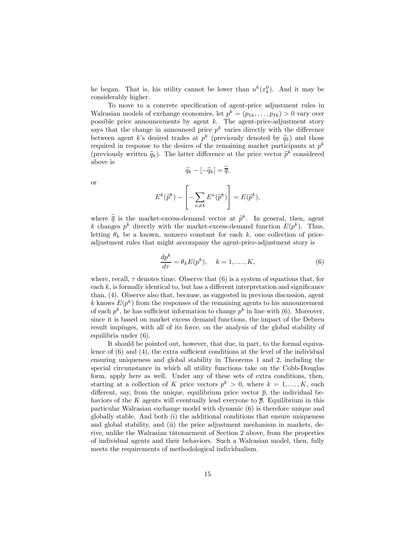he began. That is, his utility cannot be lower than  $u^k(x_k^0)$ . And it may be considerably higher.

To move to a concrete specification of agent-price adjustment rules in Walrasian models of exchange economies, let  $p^k = (p_{1k}, \ldots, p_{Ik}) > 0$  vary over possible price announcements by agent  $k$ . The agent-price-adjustment story says that the change in announced price  $p^k$  varies directly with the difference between agent k's desired trades at  $p^k$  (previously denoted by  $\tilde{q}_k$ ) and those required in response to the desires of the remaining market participants at  $p^k$ (previously written  $\hat{q}_k$ ). The latter difference at the price vector  $\hat{p}^k$  considered above is

$$
\widetilde{q}_k - [-\widehat{q}_k] = \widetilde{\overline{q}},
$$

or

$$
E^{k}(\tilde{p}^{k}) - \left[ -\sum_{\kappa \neq k} E^{\kappa}(\tilde{p}^{k}) \right] = E(\tilde{p}^{k}),
$$

where  $\tilde{\overline{q}}$  is the market-excess-demand vector at  $\tilde{p}^k$ . In general, then, agent k changes  $p^k$  directly with the market-excess-demand function  $E(p^k)$ . Thus, letting  $\theta_k$  be a known, nonzero constant for each k, one collection of priceadjustment rules that might accompany the agent-price-adjustment story is

$$
\frac{dp^k}{d\tau} = \theta_k E(p^k), \quad k = 1, \dots, K,
$$
\n(6)

where, recall,  $\tau$  denotes time. Observe that (6) is a system of equations that, for each  $k$ , is formally identical to, but has a different interpretation and significance than, (4). Observe also that, because, as suggested in previous discussion, agent k knows  $E(p^k)$  from the responses of the remaining agents to his announcement of each  $p^k$ , he has sufficient information to change  $p^k$  in line with (6). Moreover, since it is based on market excess demand functions, the impact of the Debreu result impinges, with all of its force, on the analysis of the global stability of equilibria under (6).

It should be pointed out, however, that due, in part, to the formal equivalence of  $(6)$  and  $(4)$ , the extra sufficient conditions at the level of the individual ensuring uniqueness and global stability in Theorems 1 and 2, including the special circumstance in which all utility functions take on the Cobb-Douglas form, apply here as well. Under any of these sets of extra conditions, then, starting at a collection of K price vectors  $p^k > 0$ , where  $k = 1, ..., K$ , each different, say, from the unique, equilibrium price vector  $\bar{p}$ , the individual behaviors of the K agents will eventually lead everyone to  $\bar{p}$ . Equilibrium in this particular Walrasian exchange model with dynamic (6) is therefore unique and globally stable. And both (i) the additional conditions that ensure uniqueness and global stability, and (ii) the price adjustment mechanism in markets, derive, unlike the Walrasian tâtonnement of Section 2 above, from the properties of individual agents and their behaviors. Such a Walrasian model, then, fully meets the requirements of methodological individualism.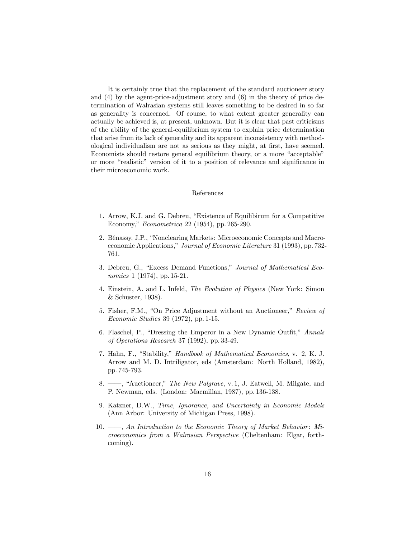It is certainly true that the replacement of the standard auctioneer story and (4) by the agent-price-adjustment story and (6) in the theory of price determination of Walrasian systems still leaves something to be desired in so far as generality is concerned. Of course, to what extent greater generality can actually be achieved is, at present, unknown. But it is clear that past criticisms of the ability of the general-equilibrium system to explain price determination that arise from its lack of generality and its apparent inconsistency with methodological individualism are not as serious as they might, at first, have seemed. Economists should restore general equilibrium theory, or a more "acceptable" or more "realistic" version of it to a position of relevance and significance in their microeconomic work.

#### References

- 1. Arrow, K.J. and G. Debreu, "Existence of Equilibirum for a Competitive Economy," Econometrica 22 (1954), pp. 265-290.
- 2. Bénassy, J.P., "Nonclearing Markets: Microeconomic Concepts and Macroeconomic Applications," Journal of Economic Literature 31 (1993), pp. 732- 761.
- 3. Debreu, G., "Excess Demand Functions," Journal of Mathematical Economics 1 (1974), pp. 15-21.
- 4. Einstein, A. and L. Infeld, The Evolution of Physics (New York: Simon & Schuster, 1938).
- 5. Fisher, F.M., "On Price Adjustment without an Auctioneer," Review of Economic Studies 39 (1972), pp. 1-15.
- 6. Flaschel, P., "Dressing the Emperor in a New Dynamic Outfit," Annals of Operations Research 37 (1992), pp. 33-49.
- 7. Hahn, F., "Stability," Handbook of Mathematical Economics, v. 2, K. J. Arrow and M. D. Intriligator, eds (Amsterdam: North Holland, 1982), pp. 745-793.
- 8. ––, "Auctioneer," The New Palgrave, v. 1, J. Eatwell, M. Milgate, and P. Newman, eds. (London: Macmillan, 1987), pp. 136-138.
- 9. Katzner, D.W., Time, Ignorance, and Uncertainty in Economic Models (Ann Arbor: University of Michigan Press, 1998).
- $10. \longrightarrow$ , An Introduction to the Economic Theory of Market Behavior: Microeconomics from a Walrasian Perspective (Cheltenham: Elgar, forthcoming).